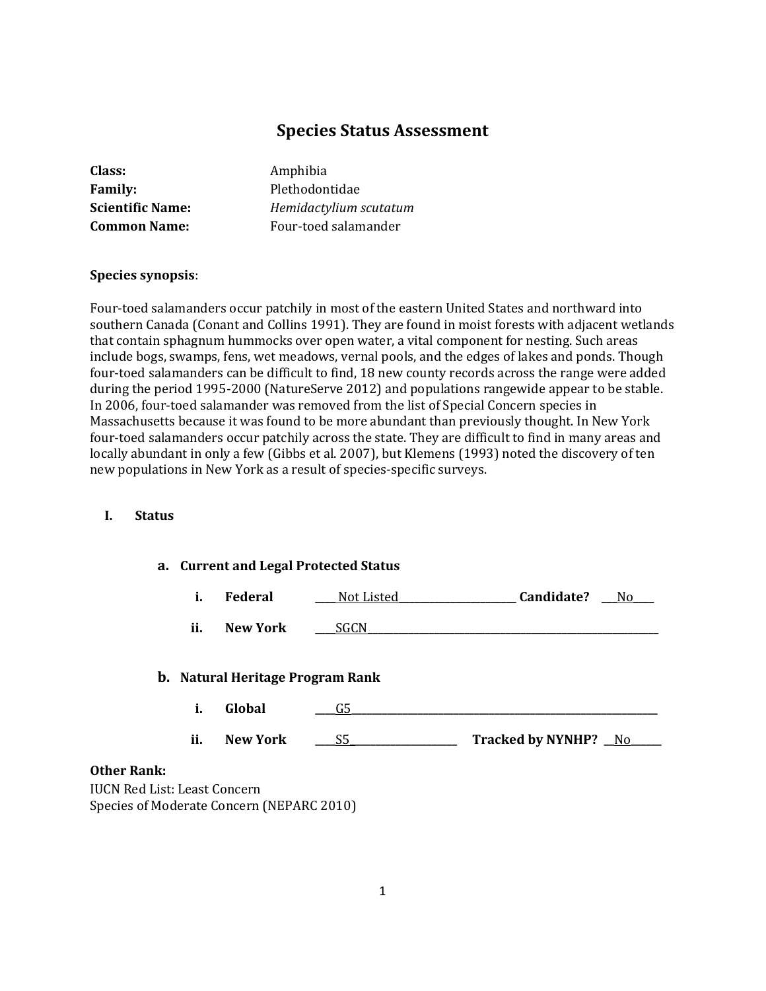# **Species Status Assessment**

| Class:                  |
|-------------------------|
| <b>Family:</b>          |
| <b>Scientific Name:</b> |
| <b>Common Name:</b>     |

**Class:** Amphibia **Family:** Plethodontidae **Scientific Name:** *Hemidactylium scutatum* Four-toed salamander

### **Species synopsis**:

Four-toed salamanders occur patchily in most of the eastern United States and northward into southern Canada (Conant and Collins 1991). They are found in moist forests with adjacent wetlands that contain sphagnum hummocks over open water, a vital component for nesting. Such areas include bogs, swamps, fens, wet meadows, vernal pools, and the edges of lakes and ponds. Though four-toed salamanders can be difficult to find, 18 new county records across the range were added during the period 1995-2000 (NatureServe 2012) and populations rangewide appear to be stable. In 2006, four-toed salamander was removed from the list of Special Concern species in Massachusetts because it was found to be more abundant than previously thought. In New York four-toed salamanders occur patchily across the state. They are difficult to find in many areas and locally abundant in only a few (Gibbs et al. 2007), but Klemens (1993) noted the discovery of ten new populations in New York as a result of species-specific surveys.

### **I. Status**

|                                     | a. Current and Legal Protected Status |                                           |            |                      |     |
|-------------------------------------|---------------------------------------|-------------------------------------------|------------|----------------------|-----|
|                                     | i.                                    | Federal                                   | Not Listed | Candidate?           | No. |
|                                     | ii.                                   | <b>New York</b>                           | SGCN.      |                      |     |
|                                     |                                       | <b>b.</b> Natural Heritage Program Rank   |            |                      |     |
|                                     | i.                                    | Global                                    | G5         |                      |     |
|                                     | ii.                                   | <b>New York</b>                           | S5         | Tracked by NYNHP? No |     |
| <b>Other Rank:</b>                  |                                       |                                           |            |                      |     |
| <b>IUCN Red List: Least Concern</b> |                                       |                                           |            |                      |     |
|                                     |                                       | Species of Moderate Concern (NEPARC 2010) |            |                      |     |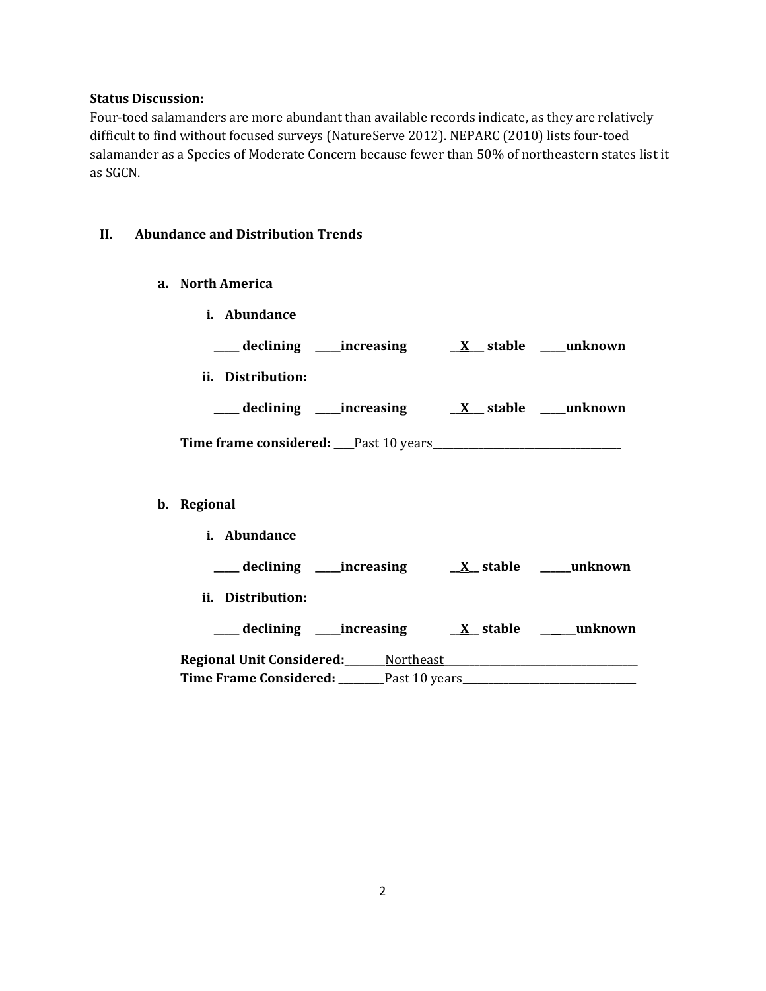#### **Status Discussion:**

Four-toed salamanders are more abundant than available records indicate, as they are relatively difficult to find without focused surveys (NatureServe 2012). NEPARC (2010) lists four-toed salamander as a Species of Moderate Concern because fewer than 50% of northeastern states list it as SGCN.

### **II. Abundance and Distribution Trends**

- **a. North America**
	- **i. Abundance \_\_\_\_\_ declining \_\_\_\_\_increasing \_\_X\_\_\_ stable \_\_\_\_\_unknown**
	- **ii. Distribution: \_\_\_\_\_ declining \_\_\_\_\_increasing \_\_X\_\_\_ stable \_\_\_\_\_unknown Time frame considered: \_\_\_\_**Past 10 years**\_\_\_\_\_\_\_\_\_\_\_\_\_\_\_\_\_\_\_\_\_\_\_\_\_\_\_\_\_\_\_\_\_\_\_\_\_**
- **b. Regional**
	- **i. Abundance \_\_\_\_\_ declining \_\_\_\_\_increasing \_\_X\_\_ stable \_\_\_\_\_\_unknown ii. Distribution: \_\_\_\_\_ declining \_\_\_\_\_increasing \_\_X\_\_ stable \_\_\_\_\_\_\_unknown Regional Unit Considered:\_\_\_\_\_\_\_\_**Northeast**\_\_\_\_\_\_\_\_\_\_\_\_\_\_\_\_\_\_\_\_\_\_\_\_\_\_\_\_\_\_\_\_\_\_\_\_\_\_ Time Frame Considered: \_\_\_\_\_\_\_\_\_**Past 10 years**\_\_\_\_\_\_\_\_\_\_\_\_\_\_\_\_\_\_\_\_\_\_\_\_\_\_\_\_\_\_\_\_\_\_**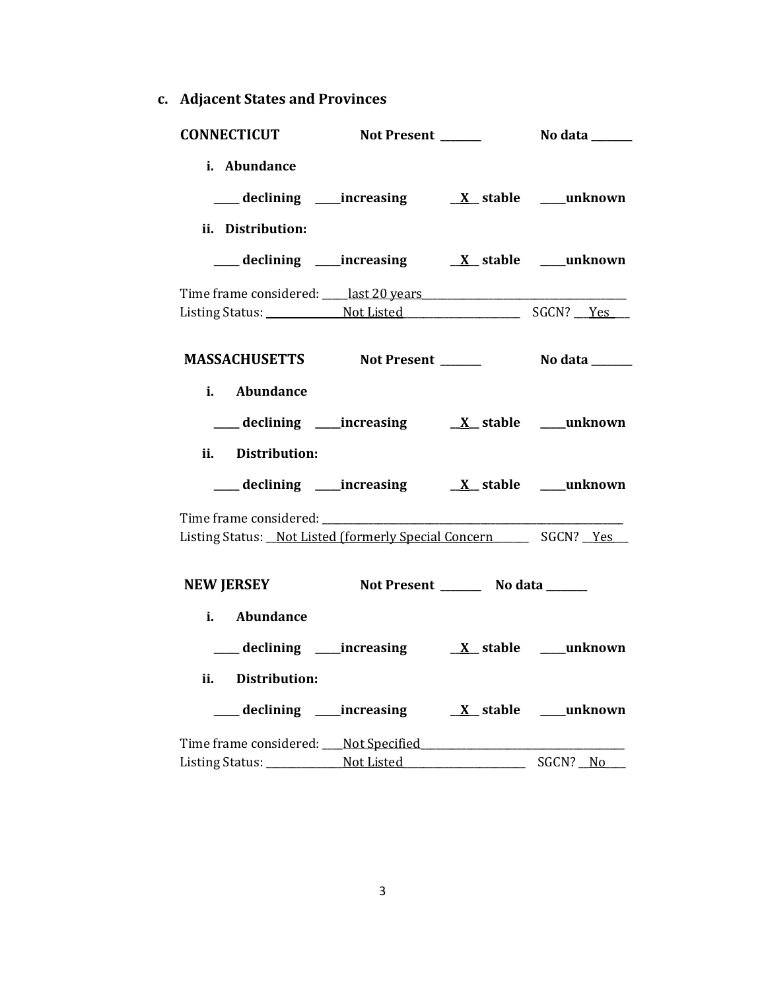**c. Adjacent States and Provinces**

| <b>CONNECTICUT</b>                                                      | Not Present _______ |                                        | <b>No data</b> ______ |
|-------------------------------------------------------------------------|---------------------|----------------------------------------|-----------------------|
| i. Abundance                                                            |                     |                                        |                       |
|                                                                         |                     |                                        |                       |
| ii. Distribution:                                                       |                     |                                        |                       |
|                                                                         |                     |                                        |                       |
| Time frame considered: https://www.ast20.years                          |                     |                                        |                       |
|                                                                         |                     |                                        |                       |
|                                                                         |                     |                                        |                       |
| i. Abundance                                                            |                     |                                        |                       |
|                                                                         |                     |                                        |                       |
| ii. Distribution:                                                       |                     |                                        |                       |
|                                                                         |                     |                                        |                       |
|                                                                         |                     |                                        |                       |
| Listing Status: Not Listed (formerly Special Concern _______ SGCN? _Yes |                     |                                        |                       |
| NEW JERSEY                                                              |                     | Not Present __________ No data _______ |                       |
| i. Abundance                                                            |                     |                                        |                       |
|                                                                         |                     |                                        |                       |
| ii. Distribution:                                                       |                     |                                        |                       |
|                                                                         |                     |                                        |                       |
|                                                                         |                     |                                        |                       |
|                                                                         |                     |                                        | ____ SGCN? _No___     |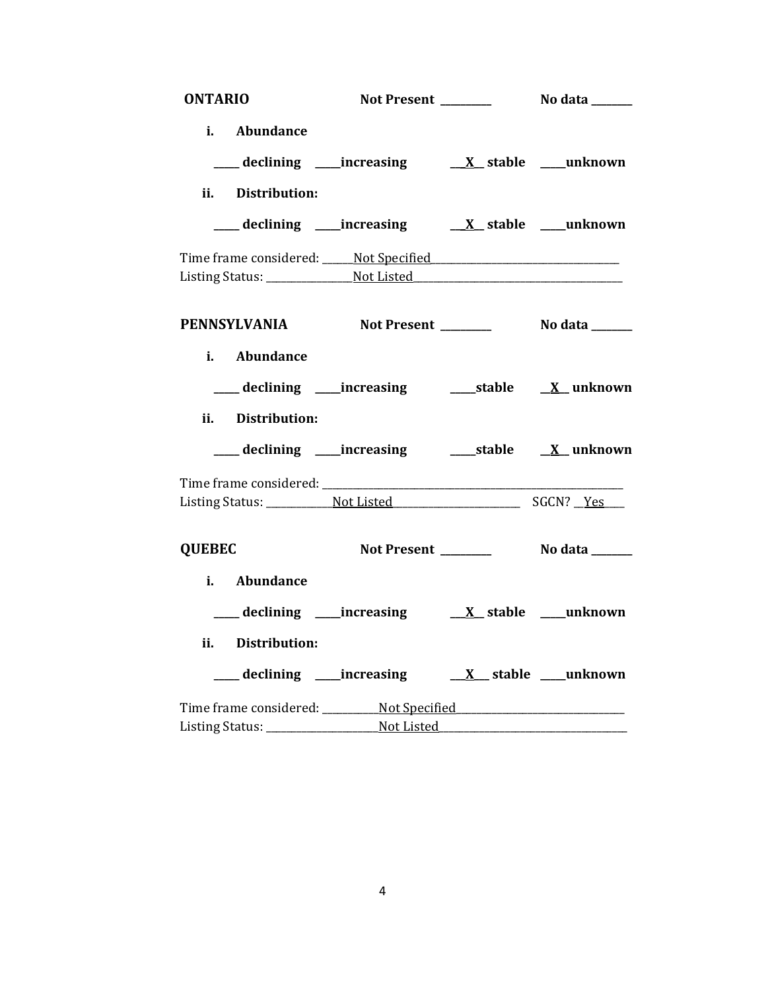| <b>ONTARIO</b>                                                   |                                                          |  |
|------------------------------------------------------------------|----------------------------------------------------------|--|
| i. Abundance                                                     |                                                          |  |
| ii. Distribution:                                                |                                                          |  |
|                                                                  |                                                          |  |
|                                                                  |                                                          |  |
|                                                                  |                                                          |  |
| PENNSYLVANIA Not Present _________ No data _____<br>i. Abundance |                                                          |  |
| ii. Distribution:                                                |                                                          |  |
|                                                                  | ___ declining ____increasing ______stable ___ X__unknown |  |
|                                                                  |                                                          |  |
| <b>QUEBEC</b>                                                    |                                                          |  |
| i. Abundance                                                     |                                                          |  |
|                                                                  |                                                          |  |
| Distribution:<br>ii.                                             |                                                          |  |
|                                                                  |                                                          |  |
|                                                                  |                                                          |  |
|                                                                  |                                                          |  |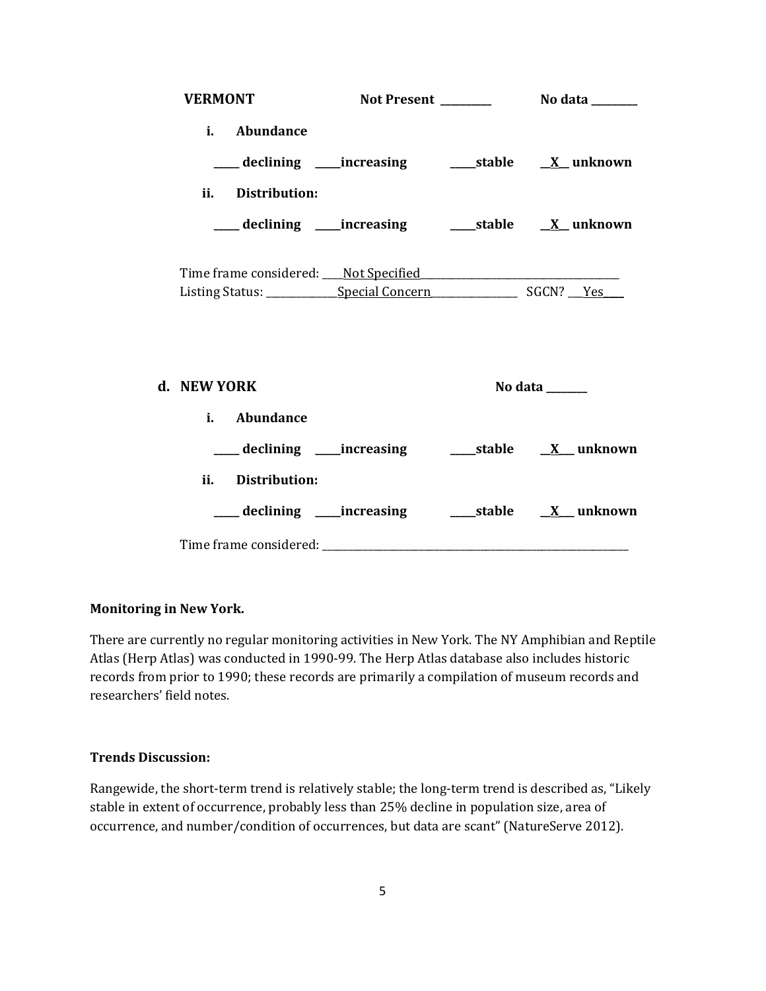| <b>VERMONT</b>                    |  |  |                                                                         |  |
|-----------------------------------|--|--|-------------------------------------------------------------------------|--|
| i. Abundance<br>ii. Distribution: |  |  | ___ declining ____increasing ______stable ___ <u>X</u> _unknown         |  |
|                                   |  |  |                                                                         |  |
|                                   |  |  |                                                                         |  |
| d. NEW YORK                       |  |  | No data $\_\_\_\_\_\_\_\_\_\_\_\_\$                                     |  |
| i. Abundance                      |  |  |                                                                         |  |
|                                   |  |  | ____ declining ____increasing _________stable ____ <u>X__</u> _ unknown |  |
| ii. Distribution:                 |  |  |                                                                         |  |
|                                   |  |  | ____ declining ____increasing ________stable ____ <u>X</u> ___ unknown  |  |
|                                   |  |  |                                                                         |  |

### **Monitoring in New York.**

There are currently no regular monitoring activities in New York. The NY Amphibian and Reptile Atlas (Herp Atlas) was conducted in 1990-99. The Herp Atlas database also includes historic records from prior to 1990; these records are primarily a compilation of museum records and researchers' field notes.

### **Trends Discussion:**

Rangewide, the short-term trend is relatively stable; the long-term trend is described as, "Likely stable in extent of occurrence, probably less than 25% decline in population size, area of occurrence, and number/condition of occurrences, but data are scant" (NatureServe 2012).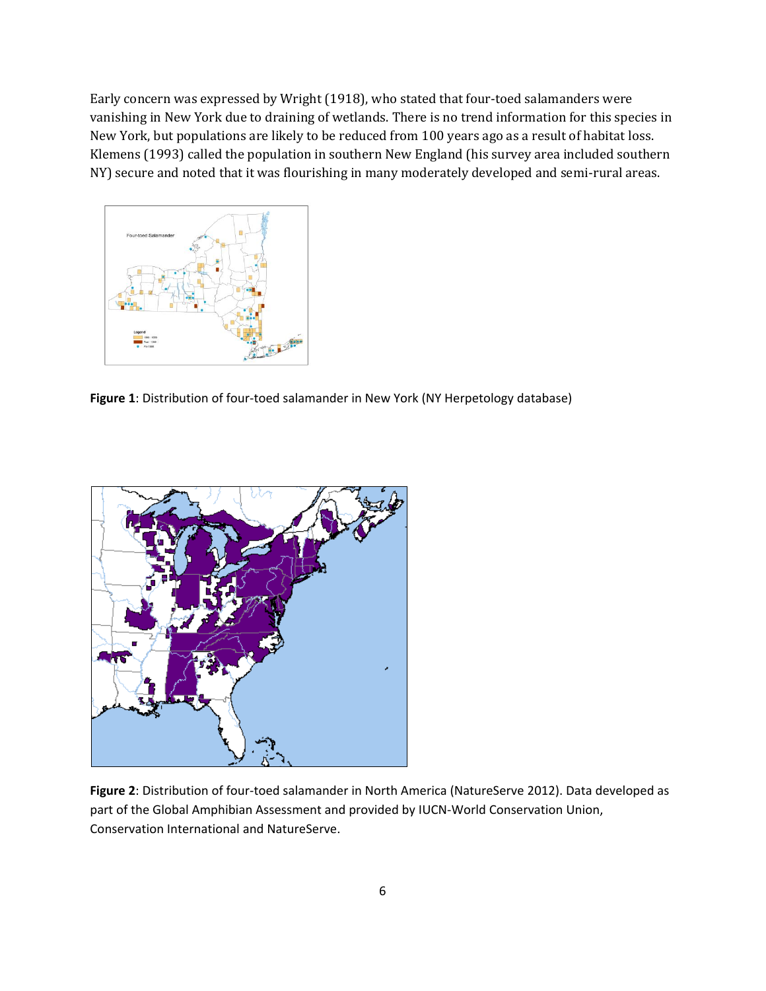Early concern was expressed by Wright (1918), who stated that four-toed salamanders were vanishing in New York due to draining of wetlands. There is no trend information for this species in New York, but populations are likely to be reduced from 100 years ago as a result of habitat loss. Klemens (1993) called the population in southern New England (his survey area included southern NY) secure and noted that it was flourishing in many moderately developed and semi-rural areas.



**Figure 1**: Distribution of four-toed salamander in New York (NY Herpetology database)



**Figure 2**: Distribution of four-toed salamander in North America (NatureServe 2012). Data developed as part of the Global Amphibian Assessment and provided by IUCN-World Conservation Union, Conservation International and NatureServe.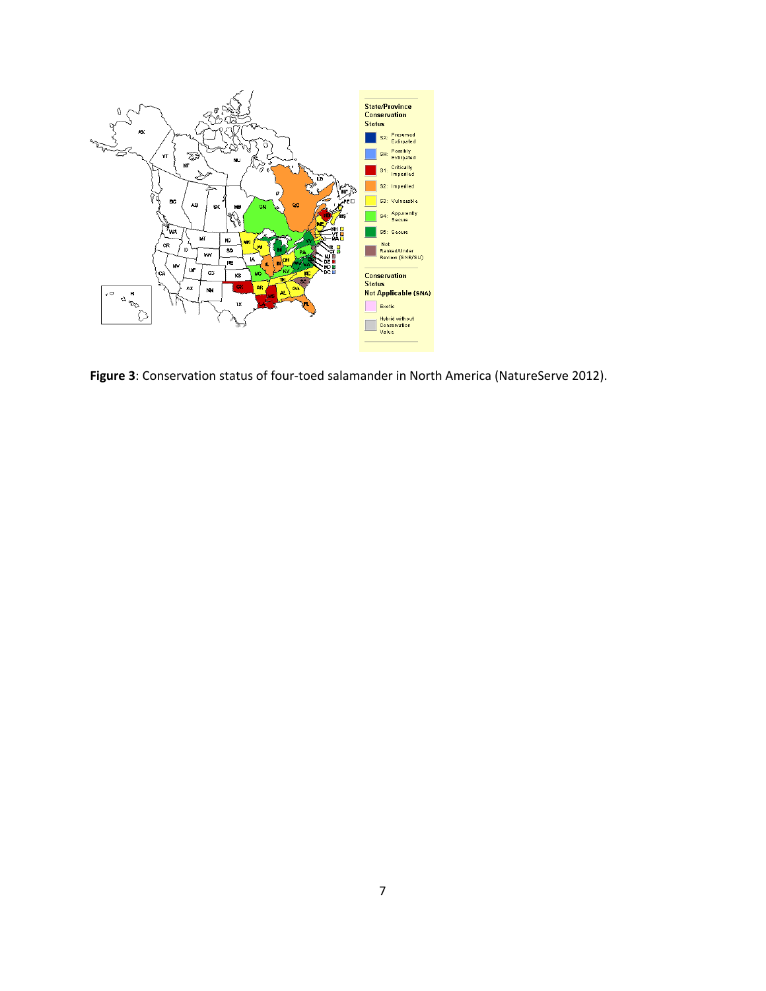

**Figure 3**: Conservation status of four-toed salamander in North America (NatureServe 2012).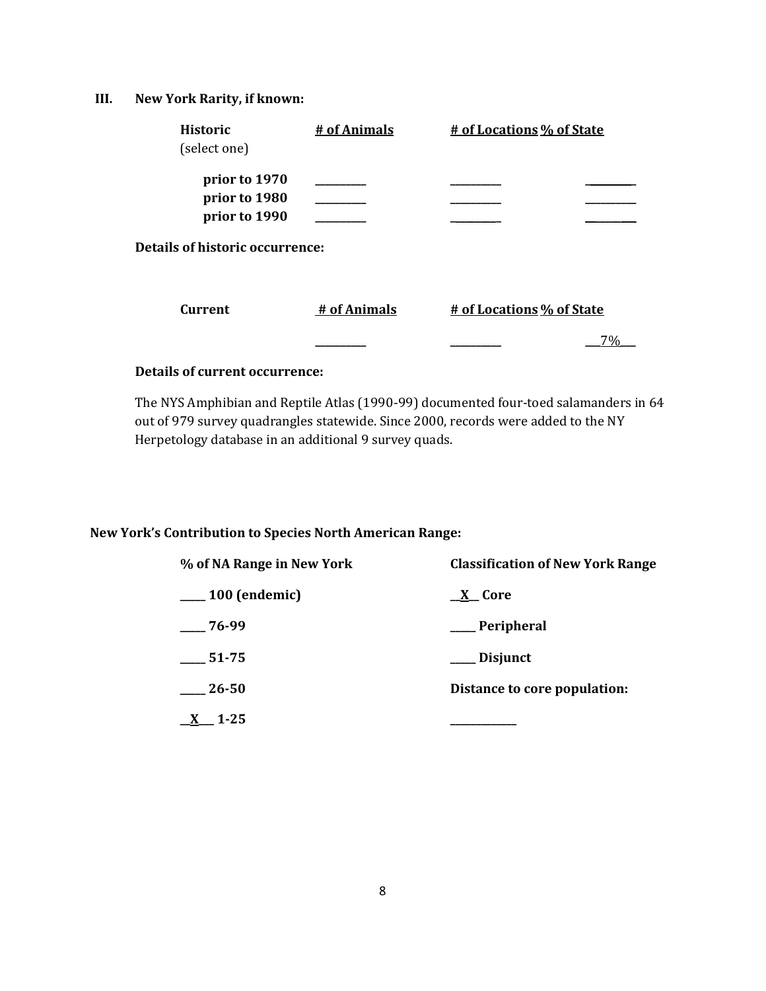# **III. New York Rarity, if known:**

| <b>Historic</b>                       | # of Animals | # of Locations % of State |    |
|---------------------------------------|--------------|---------------------------|----|
| (select one)                          |              |                           |    |
| prior to 1970                         |              |                           |    |
| prior to 1980                         |              |                           |    |
| prior to 1990                         |              |                           |    |
| Details of historic occurrence:       |              |                           |    |
| <b>Current</b>                        | # of Animals | # of Locations % of State |    |
|                                       |              |                           | 7% |
| <b>Details of current occurrence:</b> |              |                           |    |

The NYS Amphibian and Reptile Atlas (1990-99) documented four-toed salamanders in 64 out of 979 survey quadrangles statewide. Since 2000, records were added to the NY Herpetology database in an additional 9 survey quads.

# **New York's Contribution to Species North American Range:**

| % of NA Range in New York | <b>Classification of New York Range</b> |
|---------------------------|-----------------------------------------|
| $\_\_100$ (endemic)       | <u>_X</u> _Core                         |
| $-76-99$                  | ___ Peripheral                          |
| $-51-75$                  | ___ Disjunct                            |
| 26-50                     | Distance to core population:            |
| 1-25                      |                                         |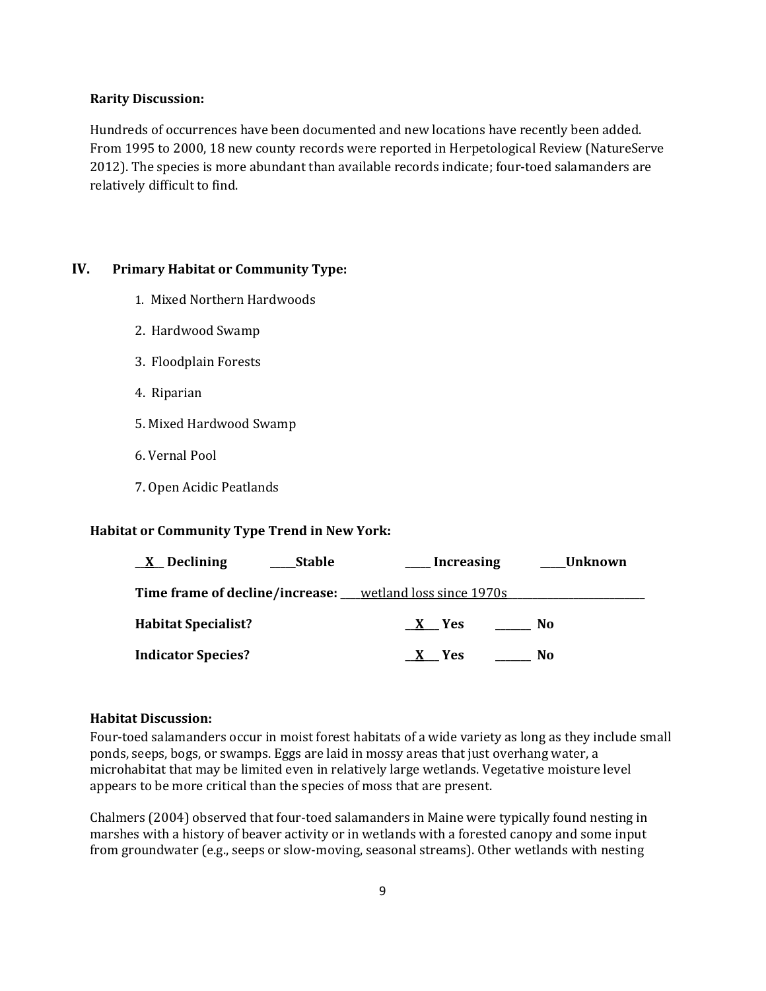#### **Rarity Discussion:**

Hundreds of occurrences have been documented and new locations have recently been added. From 1995 to 2000, 18 new county records were reported in Herpetological Review (NatureServe 2012). The species is more abundant than available records indicate; four-toed salamanders are relatively difficult to find.

## **IV. Primary Habitat or Community Type:**

- 1. Mixed Northern Hardwoods
- 2. Hardwood Swamp
- 3. Floodplain Forests
- 4. Riparian
- 5. Mixed Hardwood Swamp
- 6. Vernal Pool
- 7. Open Acidic Peatlands

### **Habitat or Community Type Trend in New York:**

| $\underline{X}$ Declining  | Stable | Increasing                                                   | Unknown |
|----------------------------|--------|--------------------------------------------------------------|---------|
|                            |        | Time frame of decline/increase: ___wetland loss since 1970s_ |         |
| <b>Habitat Specialist?</b> |        | X Yes                                                        | No.     |
| <b>Indicator Species?</b>  |        | X Yes                                                        | No      |

### **Habitat Discussion:**

Four-toed salamanders occur in moist forest habitats of a wide variety as long as they include small ponds, seeps, bogs, or swamps. Eggs are laid in mossy areas that just overhang water, a microhabitat that may be limited even in relatively large wetlands. Vegetative moisture level appears to be more critical than the species of moss that are present.

Chalmers (2004) observed that four-toed salamanders in Maine were typically found nesting in marshes with a history of beaver activity or in wetlands with a forested canopy and some input from groundwater (e.g., seeps or slow-moving, seasonal streams). Other wetlands with nesting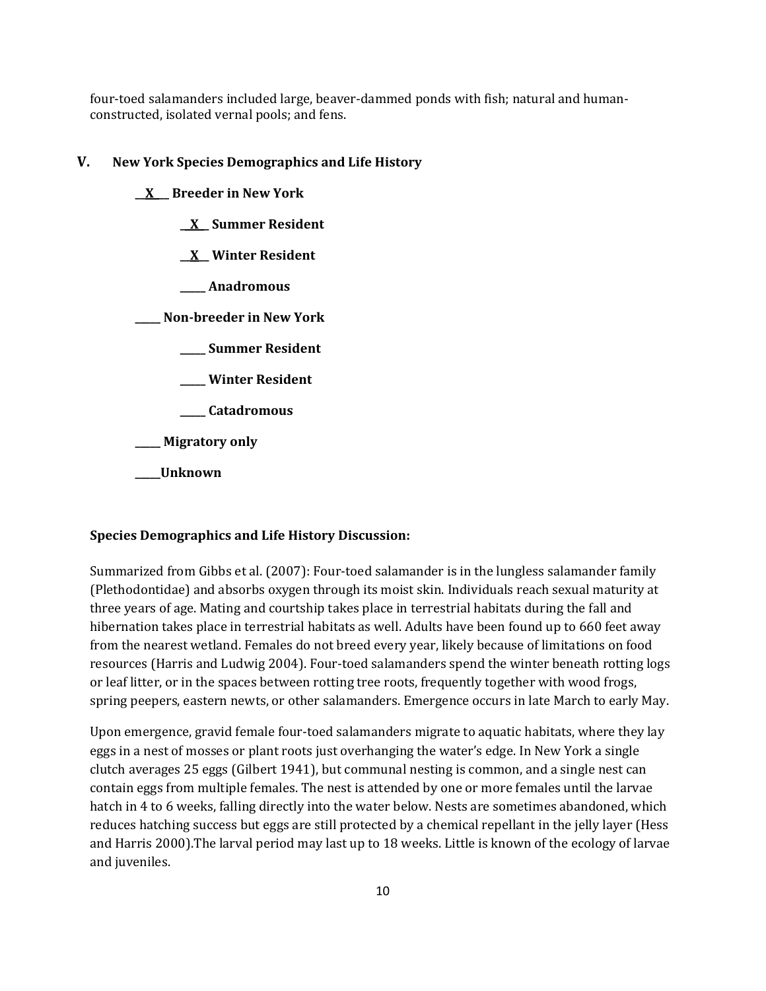four-toed salamanders included large, beaver-dammed ponds with fish; natural and humanconstructed, isolated vernal pools; and fens.

#### **V. New York Species Demographics and Life History**

**\_\_X\_\_\_ Breeder in New York**

**\_\_X\_\_ Summer Resident**

**\_\_X\_\_ Winter Resident**

**\_\_\_\_\_ Anadromous**

**\_\_\_\_\_ Non-breeder in New York**

**\_\_\_\_\_ Summer Resident**

**\_\_\_\_\_ Winter Resident**

**\_\_\_\_\_ Catadromous**

**\_\_\_\_\_ Migratory only**

**\_\_\_\_\_Unknown**

### **Species Demographics and Life History Discussion:**

Summarized from Gibbs et al. (2007): Four-toed salamander is in the lungless salamander family (Plethodontidae) and absorbs oxygen through its moist skin. Individuals reach sexual maturity at three years of age. Mating and courtship takes place in terrestrial habitats during the fall and hibernation takes place in terrestrial habitats as well. Adults have been found up to 660 feet away from the nearest wetland. Females do not breed every year, likely because of limitations on food resources (Harris and Ludwig 2004). Four-toed salamanders spend the winter beneath rotting logs or leaf litter, or in the spaces between rotting tree roots, frequently together with wood frogs, spring peepers, eastern newts, or other salamanders. Emergence occurs in late March to early May.

Upon emergence, gravid female four-toed salamanders migrate to aquatic habitats, where they lay eggs in a nest of mosses or plant roots just overhanging the water's edge. In New York a single clutch averages 25 eggs (Gilbert 1941), but communal nesting is common, and a single nest can contain eggs from multiple females. The nest is attended by one or more females until the larvae hatch in 4 to 6 weeks, falling directly into the water below. Nests are sometimes abandoned, which reduces hatching success but eggs are still protected by a chemical repellant in the jelly layer (Hess and Harris 2000).The larval period may last up to 18 weeks. Little is known of the ecology of larvae and juveniles.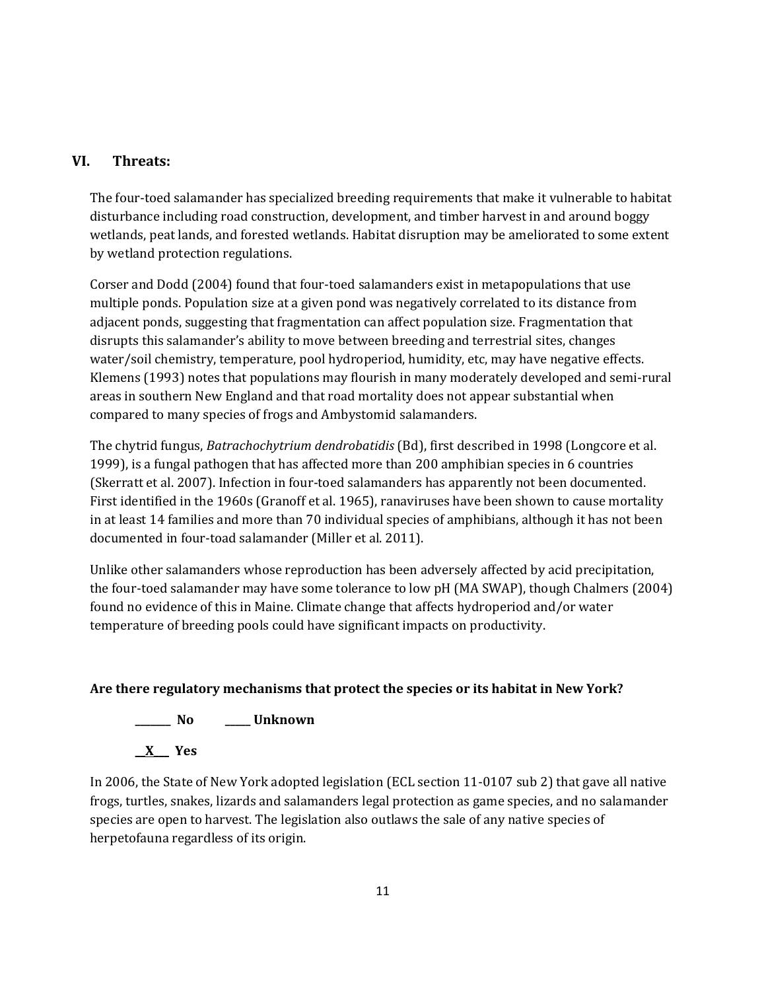# **VI. Threats:**

The four-toed salamander has specialized breeding requirements that make it vulnerable to habitat disturbance including road construction, development, and timber harvest in and around boggy wetlands, peat lands, and forested wetlands. Habitat disruption may be ameliorated to some extent by wetland protection regulations.

Corser and Dodd (2004) found that four-toed salamanders exist in metapopulations that use multiple ponds. Population size at a given pond was negatively correlated to its distance from adjacent ponds, suggesting that fragmentation can affect population size. Fragmentation that disrupts this salamander's ability to move between breeding and terrestrial sites, changes water/soil chemistry, temperature, pool hydroperiod, humidity, etc, may have negative effects. Klemens (1993) notes that populations may flourish in many moderately developed and semi-rural areas in southern New England and that road mortality does not appear substantial when compared to many species of frogs and Ambystomid salamanders.

The chytrid fungus, *Batrachochytrium dendrobatidis* (Bd), first described in 1998 (Longcore et al. 1999), is a fungal pathogen that has affected more than 200 amphibian species in 6 countries (Skerratt et al. 2007). Infection in four-toed salamanders has apparently not been documented. First identified in the 1960s (Granoff et al. 1965), ranaviruses have been shown to cause mortality in at least 14 families and more than 70 individual species of amphibians, although it has not been documented in four-toad salamander (Miller et al. 2011).

Unlike other salamanders whose reproduction has been adversely affected by acid precipitation, the four-toed salamander may have some tolerance to low pH (MA SWAP), though Chalmers (2004) found no evidence of this in Maine. Climate change that affects hydroperiod and/or water temperature of breeding pools could have significant impacts on productivity.

## **Are there regulatory mechanisms that protect the species or its habitat in New York?**



**\_\_X\_\_\_ Yes**

In 2006, the State of New York adopted legislation (ECL section 11-0107 sub 2) that gave all native frogs, turtles, snakes, lizards and salamanders legal protection as game species, and no salamander species are open to harvest. The legislation also outlaws the sale of any native species of herpetofauna regardless of its origin.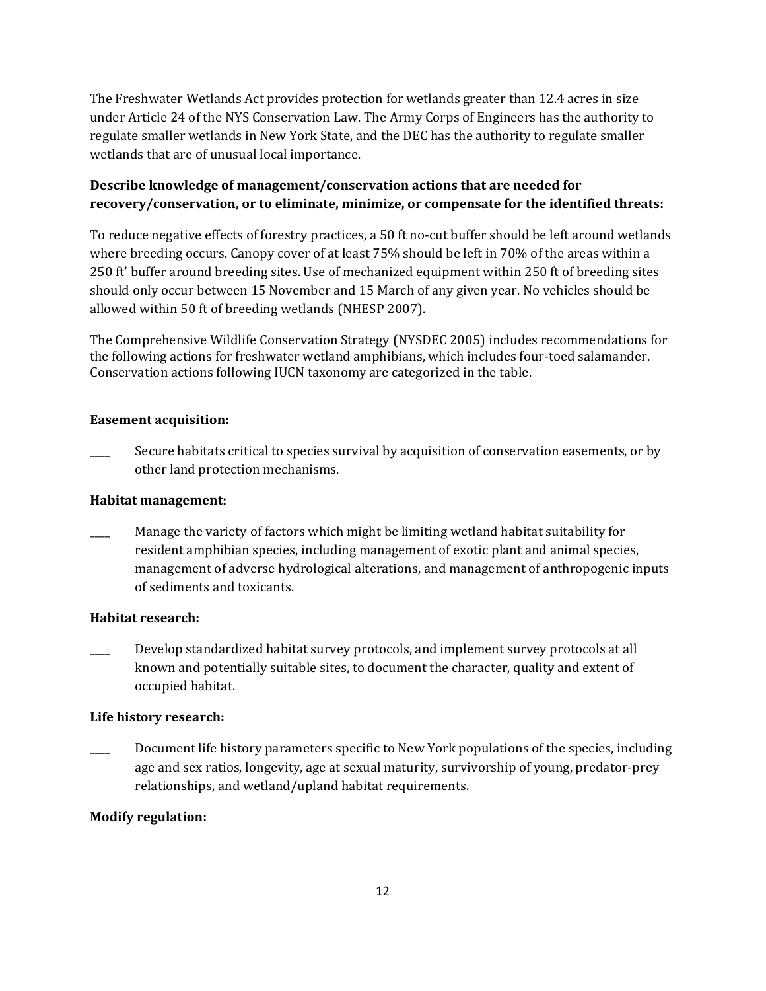The Freshwater Wetlands Act provides protection for wetlands greater than 12.4 acres in size under Article 24 of the NYS Conservation Law. The Army Corps of Engineers has the authority to regulate smaller wetlands in New York State, and the DEC has the authority to regulate smaller wetlands that are of unusual local importance.

# **Describe knowledge of management/conservation actions that are needed for recovery/conservation, or to eliminate, minimize, or compensate for the identified threats:**

To reduce negative effects of forestry practices, a 50 ft no-cut buffer should be left around wetlands where breeding occurs. Canopy cover of at least 75% should be left in 70% of the areas within a 250 ft' buffer around breeding sites. Use of mechanized equipment within 250 ft of breeding sites should only occur between 15 November and 15 March of any given year. No vehicles should be allowed within 50 ft of breeding wetlands (NHESP 2007).

The Comprehensive Wildlife Conservation Strategy (NYSDEC 2005) includes recommendations for the following actions for freshwater wetland amphibians, which includes four-toed salamander. Conservation actions following IUCN taxonomy are categorized in the table.

### **Easement acquisition:**

Secure habitats critical to species survival by acquisition of conservation easements, or by other land protection mechanisms.

### **Habitat management:**

Manage the variety of factors which might be limiting wetland habitat suitability for resident amphibian species, including management of exotic plant and animal species, management of adverse hydrological alterations, and management of anthropogenic inputs of sediments and toxicants.

## **Habitat research:**

Develop standardized habitat survey protocols, and implement survey protocols at all known and potentially suitable sites, to document the character, quality and extent of occupied habitat.

### **Life history research:**

Document life history parameters specific to New York populations of the species, including age and sex ratios, longevity, age at sexual maturity, survivorship of young, predator-prey relationships, and wetland/upland habitat requirements.

## **Modify regulation:**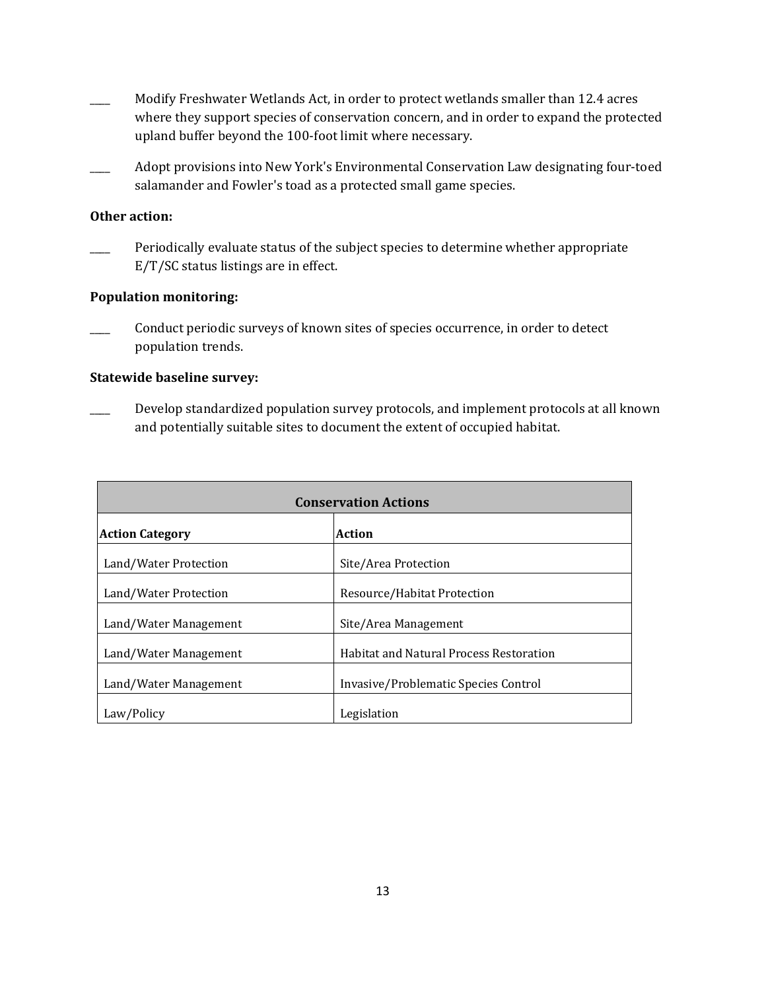- Modify Freshwater Wetlands Act, in order to protect wetlands smaller than 12.4 acres where they support species of conservation concern, and in order to expand the protected upland buffer beyond the 100-foot limit where necessary.
- \_\_\_\_ Adopt provisions into New York's Environmental Conservation Law designating four-toed salamander and Fowler's toad as a protected small game species.

### **Other action:**

Periodically evaluate status of the subject species to determine whether appropriate E/T/SC status listings are in effect.

#### **Population monitoring:**

Conduct periodic surveys of known sites of species occurrence, in order to detect population trends.

#### **Statewide baseline survey:**

Develop standardized population survey protocols, and implement protocols at all known and potentially suitable sites to document the extent of occupied habitat.

| <b>Conservation Actions</b> |                                                |  |
|-----------------------------|------------------------------------------------|--|
| <b>Action Category</b>      | Action                                         |  |
| Land/Water Protection       | Site/Area Protection                           |  |
| Land/Water Protection       | Resource/Habitat Protection                    |  |
| Land/Water Management       | Site/Area Management                           |  |
| Land/Water Management       | <b>Habitat and Natural Process Restoration</b> |  |
| Land/Water Management       | Invasive/Problematic Species Control           |  |
| Law/Policy                  | Legislation                                    |  |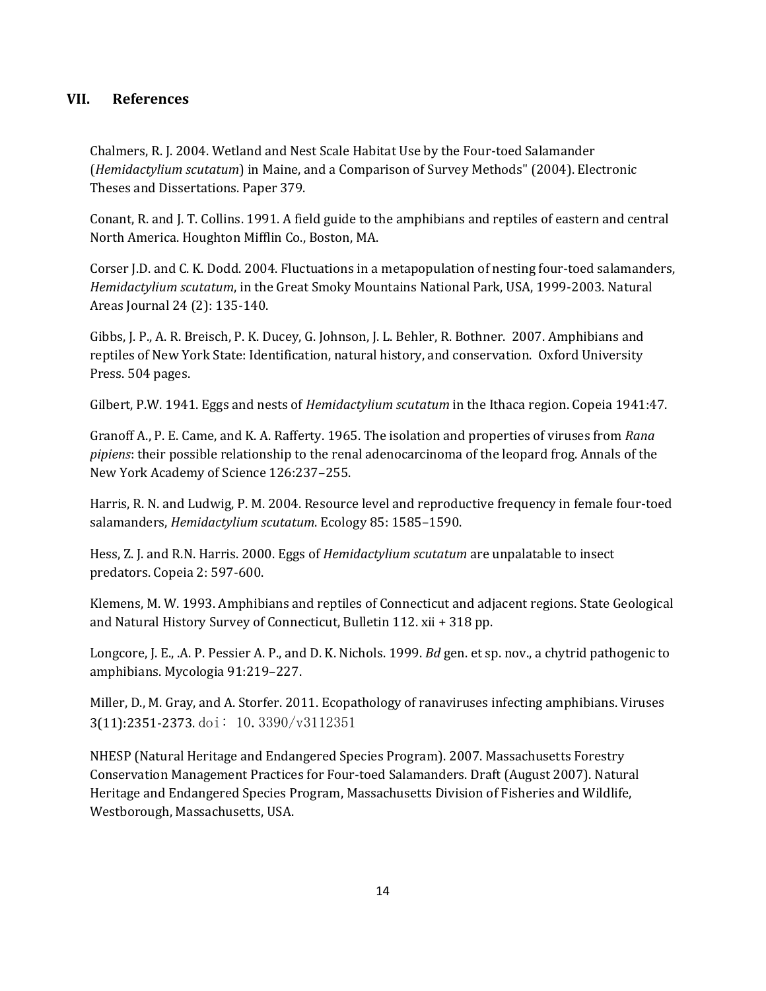## **VII. References**

Chalmers, R. J. 2004. Wetland and Nest Scale Habitat Use by the Four-toed Salamander (*Hemidactylium scutatum*) in Maine, and a Comparison of Survey Methods" (2004). Electronic Theses and Dissertations. Paper 379.

Conant, R. and J. T. Collins. 1991. A field guide to the amphibians and reptiles of eastern and central North America. Houghton Mifflin Co., Boston, MA.

Corser J.D. and C. K. Dodd. 2004. Fluctuations in a metapopulation of nesting four-toed salamanders, *Hemidactylium scutatum*, in the Great Smoky Mountains National Park, USA, 1999-2003. Natural Areas Journal 24 (2): 135-140.

Gibbs, J. P., A. R. Breisch, P. K. Ducey, G. Johnson, J. L. Behler, R. Bothner. 2007. Amphibians and reptiles of New York State: Identification, natural history, and conservation. Oxford University Press. 504 pages.

Gilbert, P.W. 1941. Eggs and nests of *Hemidactylium scutatum* in the Ithaca region. Copeia 1941:47.

Granoff A., P. E. Came, and K. A. Rafferty. 1965. The isolation and properties of viruses from *Rana pipiens*: their possible relationship to the renal adenocarcinoma of the leopard frog. Annals of the New York Academy of Science 126:237–255.

Harris, R. N. and Ludwig, P. M. 2004. Resource level and reproductive frequency in female four-toed salamanders, *Hemidactylium scutatum*. Ecology 85: 1585–1590.

Hess, Z. J. and R.N. Harris. 2000. Eggs of *Hemidactylium scutatum* are unpalatable to insect predators. Copeia 2: 597-600.

Klemens, M. W. 1993. Amphibians and reptiles of Connecticut and adjacent regions. State Geological and Natural History Survey of Connecticut, Bulletin 112. xii + 318 pp.

Longcore, J. E., .A. P. Pessier A. P., and D. K. Nichols. 1999. *Bd* gen. et sp. nov., a chytrid pathogenic to amphibians. Mycologia 91:219–227.

Miller, D., M. Gray, and A. Storfer. 2011. Ecopathology of ranaviruses infecting amphibians. Viruses 3(11):2351-2373. doi: 10.3390/v3112351

NHESP (Natural Heritage and Endangered Species Program). 2007. Massachusetts Forestry Conservation Management Practices for Four-toed Salamanders. Draft (August 2007). Natural Heritage and Endangered Species Program, Massachusetts Division of Fisheries and Wildlife, Westborough, Massachusetts, USA.